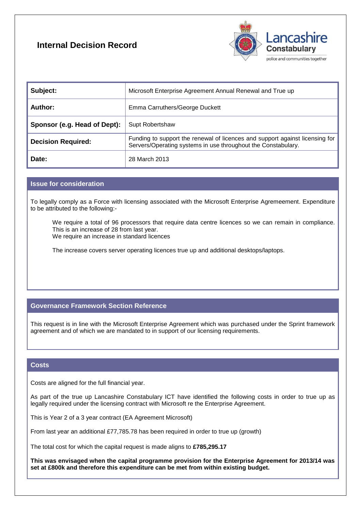# **Internal Decision Record**



| Subject:                     | Microsoft Enterprise Agreement Annual Renewal and True up                                                                                     |
|------------------------------|-----------------------------------------------------------------------------------------------------------------------------------------------|
| Author:                      | Emma Carruthers/George Duckett                                                                                                                |
| Sponsor (e.g. Head of Dept): | Supt Robertshaw                                                                                                                               |
| <b>Decision Required:</b>    | Funding to support the renewal of licences and support against licensing for<br>Servers/Operating systems in use throughout the Constabulary. |
| Date:                        | 28 March 2013                                                                                                                                 |

## **Issue for consideration**

To legally comply as a Force with licensing associated with the Microsoft Enterprise Agremeement. Expenditure to be attributed to the following:-

We require a total of 96 processors that require data centre licences so we can remain in compliance. This is an increase of 28 from last year. We require an increase in standard licences

The increase covers server operating licences true up and additional desktops/laptops.

# **Governance Framework Section Reference**

This request is in line with the Microsoft Enterprise Agreement which was purchased under the Sprint framework agreement and of which we are mandated to in support of our licensing requirements.

#### **Costs**

Costs are aligned for the full financial year.

As part of the true up Lancashire Constabulary ICT have identified the following costs in order to true up as legally required under the licensing contract with Microsoft re the Enterprise Agreement.

This is Year 2 of a 3 year contract (EA Agreement Microsoft)

From last year an additional £77,785.78 has been required in order to true up (growth)

The total cost for which the capital request is made aligns to **£785,295.17**

**This was envisaged when the capital programme provision for the Enterprise Agreement for 2013/14 was set at £800k and therefore this expenditure can be met from within existing budget.**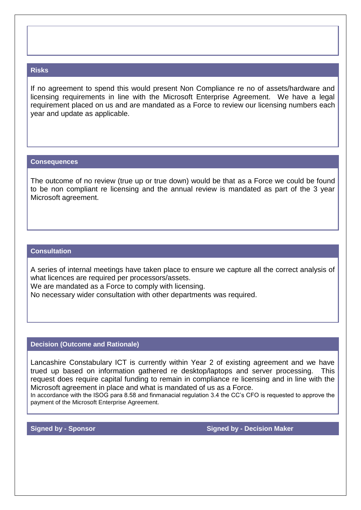#### **Risks**

If no agreement to spend this would present Non Compliance re no of assets/hardware and licensing requirements in line with the Microsoft Enterprise Agreement. We have a legal requirement placed on us and are mandated as a Force to review our licensing numbers each year and update as applicable.

#### **Consequences**

The outcome of no review (true up or true down) would be that as a Force we could be found to be non compliant re licensing and the annual review is mandated as part of the 3 year Microsoft agreement.

# **Consultation**

A series of internal meetings have taken place to ensure we capture all the correct analysis of what licences are required per processors/assets.

We are mandated as a Force to comply with licensing.

No necessary wider consultation with other departments was required.

## **Decision (Outcome and Rationale)**

Lancashire Constabulary ICT is currently within Year 2 of existing agreement and we have trued up based on information gathered re desktop/laptops and server processing. This request does require capital funding to remain in compliance re licensing and in line with the Microsoft agreement in place and what is mandated of us as a Force.

In accordance with the ISOG para 8.58 and finmanacial regulation 3.4 the CC's CFO is requested to approve the payment of the Microsoft Enterprise Agreement.

**Signed by - Sponsor Signed by - Sponsor Signed by - Decision Maker <b>Signed by - Decision Maker**